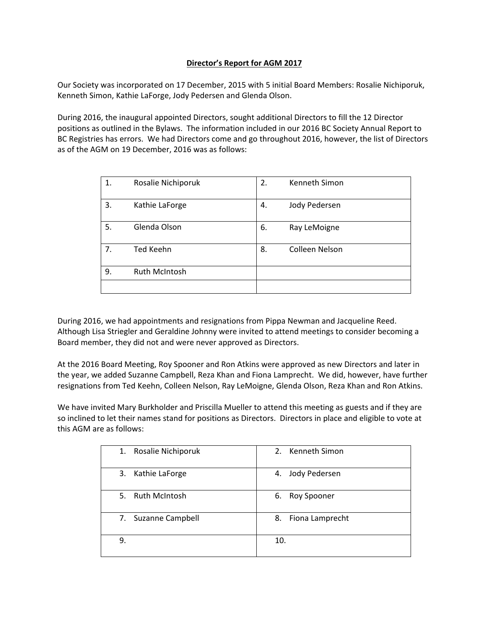## **Director's Report for AGM 2017**

Our Society was incorporated on 17 December, 2015 with 5 initial Board Members: Rosalie Nichiporuk, Kenneth Simon, Kathie LaForge, Jody Pedersen and Glenda Olson.

During 2016, the inaugural appointed Directors, sought additional Directors to fill the 12 Director positions as outlined in the Bylaws. The information included in our 2016 BC Society Annual Report to BC Registries has errors. We had Directors come and go throughout 2016, however, the list of Directors as of the AGM on 19 December, 2016 was as follows:

| 1. | Rosalie Nichiporuk | 2. | Kenneth Simon  |
|----|--------------------|----|----------------|
| 3. | Kathie LaForge     | 4. | Jody Pedersen  |
| 5. | Glenda Olson       | 6. | Ray LeMoigne   |
| 7. | <b>Ted Keehn</b>   | 8. | Colleen Nelson |
| 9. | Ruth McIntosh      |    |                |
|    |                    |    |                |

During 2016, we had appointments and resignations from Pippa Newman and Jacqueline Reed. Although Lisa Striegler and Geraldine Johnny were invited to attend meetings to consider becoming a Board member, they did not and were never approved as Directors.

At the 2016 Board Meeting, Roy Spooner and Ron Atkins were approved as new Directors and later in the year, we added Suzanne Campbell, Reza Khan and Fiona Lamprecht. We did, however, have further resignations from Ted Keehn, Colleen Nelson, Ray LeMoigne, Glenda Olson, Reza Khan and Ron Atkins.

We have invited Mary Burkholder and Priscilla Mueller to attend this meeting as guests and if they are so inclined to let their names stand for positions as Directors. Directors in place and eligible to vote at this AGM are as follows:

| 1. Rosalie Nichiporuk | 2. Kenneth Simon    |
|-----------------------|---------------------|
| 3. Kathie LaForge     | Jody Pedersen<br>4. |
| 5. Ruth McIntosh      | Roy Spooner<br>6.   |
| 7. Suzanne Campbell   | 8. Fiona Lamprecht  |
| 9.                    | 10.                 |